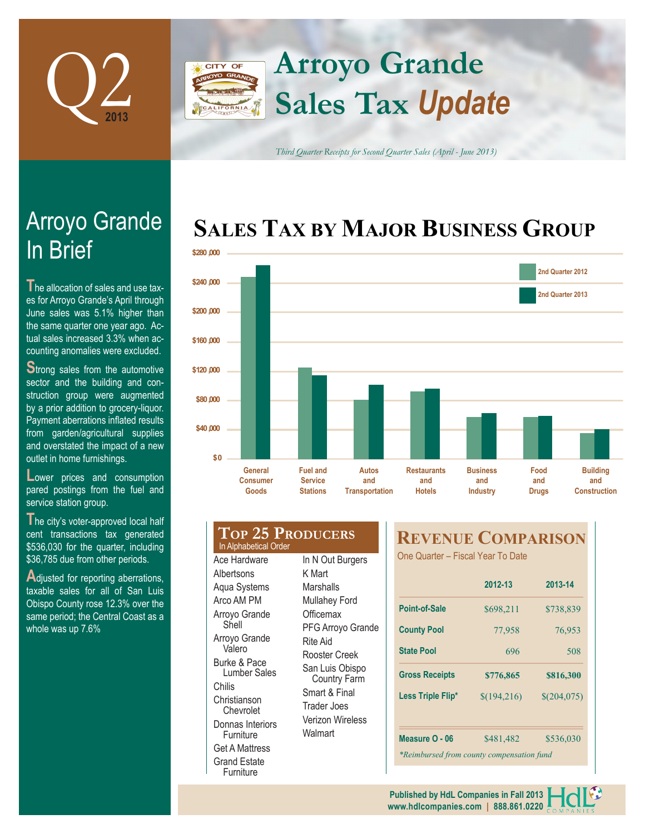

# **Arroyo Grande** CITY OF **Sales Tax** *Update*

*Third Quarter Receipts for Second Quarter Sales (April - June 2013)*

# **SALES TAX BY MAJOR BUSINESS GROUP**



# In Brief Arroyo Grande

**T** he allocation of sales and use taxes for Arroyo Grande's April through June sales was 5.1% higher than the same quarter one year ago. Actual sales increased 3.3% when accounting anomalies were excluded.

**Strong sales from the automotive** sector and the building and construction group were augmented by a prior addition to grocery-liquor. Payment aberrations inflated results from garden/agricultural supplies and overstated the impact of a new outlet in home furnishings.

Lower prices and consumption pared postings from the fuel and service station group.

**T**he city's voter-approved local half cent transactions tax generated \$536,030 for the quarter, including \$36,785 due from other periods.

Adjusted for reporting aberrations, taxable sales for all of San Luis Obispo County rose 12.3% over the same period; the Central Coast as a whole was up 7.6%

#### **Top 25 Producers** Ace Hardware **Albertsons** Aqua Systems K Mart **Marshalls** In Alphabetical Order

Arco AM PM Arroyo Grande Shell Arroyo Grande Valero Burke & Pace Lumber Sales Chilis Christianson Chevrolet Donnas Interiors **Furniture** Get A Mattress Grand Estate Furniture

In N Out Burgers Mullahey Ford **Officemax** PFG Arroyo Grande Rite Aid Rooster Creek San Luis Obispo Country Farm Smart & Final Trader Joes Verizon Wireless Walmart

## **REVENUE COMPARISON**

One Quarter – Fiscal Year To Date

|                                           | 2012-13                    | 2013-14   |  |  |  |  |
|-------------------------------------------|----------------------------|-----------|--|--|--|--|
| Point-of-Sale                             | \$698,211                  | \$738,839 |  |  |  |  |
| <b>County Pool</b>                        | 77,958                     | 76,953    |  |  |  |  |
| <b>State Pool</b>                         | 696                        | 508       |  |  |  |  |
| <b>Gross Receipts</b>                     | \$776,865<br>\$816,300     |           |  |  |  |  |
| Less Triple Flip*                         | \$(194,216)<br>\$(204,075) |           |  |  |  |  |
|                                           |                            |           |  |  |  |  |
| Measure O - 06                            | \$481,482                  | \$536,030 |  |  |  |  |
| *Reimbursed from county compensation fund |                            |           |  |  |  |  |